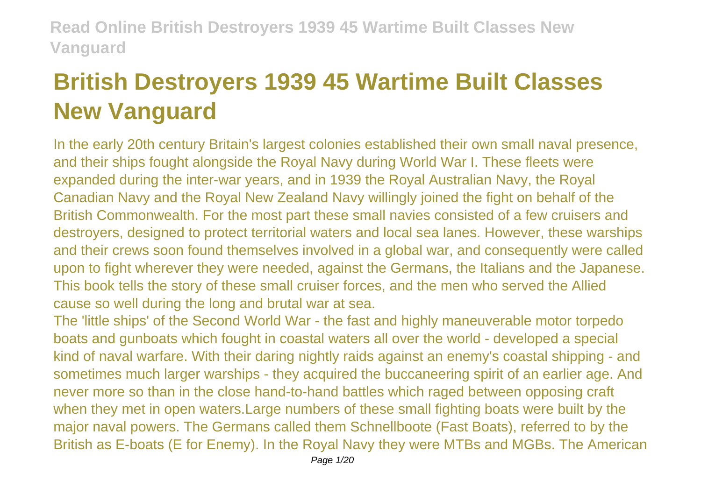# **British Destroyers 1939 45 Wartime Built Classes New Vanguard**

In the early 20th century Britain's largest colonies established their own small naval presence, and their ships fought alongside the Royal Navy during World War I. These fleets were expanded during the inter-war years, and in 1939 the Royal Australian Navy, the Royal Canadian Navy and the Royal New Zealand Navy willingly joined the fight on behalf of the British Commonwealth. For the most part these small navies consisted of a few cruisers and destroyers, designed to protect territorial waters and local sea lanes. However, these warships and their crews soon found themselves involved in a global war, and consequently were called upon to fight wherever they were needed, against the Germans, the Italians and the Japanese. This book tells the story of these small cruiser forces, and the men who served the Allied cause so well during the long and brutal war at sea.

The 'little ships' of the Second World War - the fast and highly maneuverable motor torpedo boats and gunboats which fought in coastal waters all over the world - developed a special kind of naval warfare. With their daring nightly raids against an enemy's coastal shipping - and sometimes much larger warships - they acquired the buccaneering spirit of an earlier age. And never more so than in the close hand-to-hand battles which raged between opposing craft when they met in open waters.Large numbers of these small fighting boats were built by the major naval powers. The Germans called them Schnellboote (Fast Boats), referred to by the British as E-boats (E for Enemy). In the Royal Navy they were MTBs and MGBs. The American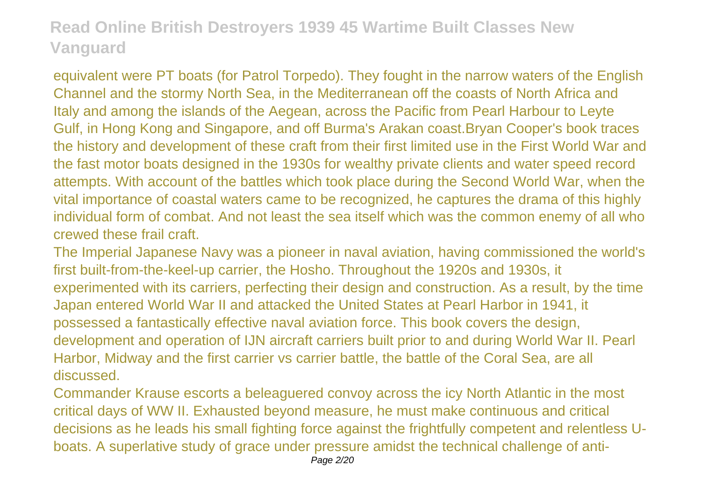equivalent were PT boats (for Patrol Torpedo). They fought in the narrow waters of the English Channel and the stormy North Sea, in the Mediterranean off the coasts of North Africa and Italy and among the islands of the Aegean, across the Pacific from Pearl Harbour to Leyte Gulf, in Hong Kong and Singapore, and off Burma's Arakan coast.Bryan Cooper's book traces the history and development of these craft from their first limited use in the First World War and the fast motor boats designed in the 1930s for wealthy private clients and water speed record attempts. With account of the battles which took place during the Second World War, when the vital importance of coastal waters came to be recognized, he captures the drama of this highly individual form of combat. And not least the sea itself which was the common enemy of all who crewed these frail craft.

The Imperial Japanese Navy was a pioneer in naval aviation, having commissioned the world's first built-from-the-keel-up carrier, the Hosho. Throughout the 1920s and 1930s, it experimented with its carriers, perfecting their design and construction. As a result, by the time Japan entered World War II and attacked the United States at Pearl Harbor in 1941, it possessed a fantastically effective naval aviation force. This book covers the design, development and operation of IJN aircraft carriers built prior to and during World War II. Pearl Harbor, Midway and the first carrier vs carrier battle, the battle of the Coral Sea, are all discussed.

Commander Krause escorts a beleaguered convoy across the icy North Atlantic in the most critical days of WW II. Exhausted beyond measure, he must make continuous and critical decisions as he leads his small fighting force against the frightfully competent and relentless Uboats. A superlative study of grace under pressure amidst the technical challenge of anti-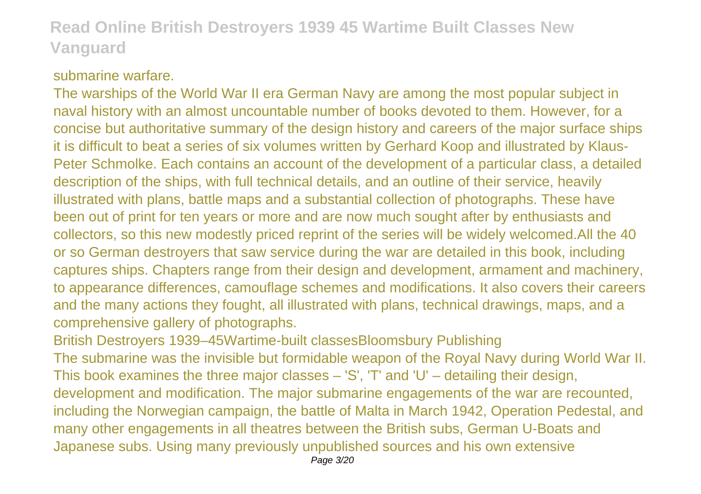#### submarine warfare.

The warships of the World War II era German Navy are among the most popular subject in naval history with an almost uncountable number of books devoted to them. However, for a concise but authoritative summary of the design history and careers of the major surface ships it is difficult to beat a series of six volumes written by Gerhard Koop and illustrated by Klaus-Peter Schmolke. Each contains an account of the development of a particular class, a detailed description of the ships, with full technical details, and an outline of their service, heavily illustrated with plans, battle maps and a substantial collection of photographs. These have been out of print for ten years or more and are now much sought after by enthusiasts and collectors, so this new modestly priced reprint of the series will be widely welcomed.All the 40 or so German destroyers that saw service during the war are detailed in this book, including captures ships. Chapters range from their design and development, armament and machinery, to appearance differences, camouflage schemes and modifications. It also covers their careers and the many actions they fought, all illustrated with plans, technical drawings, maps, and a comprehensive gallery of photographs.

British Destroyers 1939–45Wartime-built classesBloomsbury Publishing

The submarine was the invisible but formidable weapon of the Royal Navy during World War II. This book examines the three major classes – 'S', 'T' and 'U' – detailing their design, development and modification. The major submarine engagements of the war are recounted, including the Norwegian campaign, the battle of Malta in March 1942, Operation Pedestal, and many other engagements in all theatres between the British subs, German U-Boats and Japanese subs. Using many previously unpublished sources and his own extensive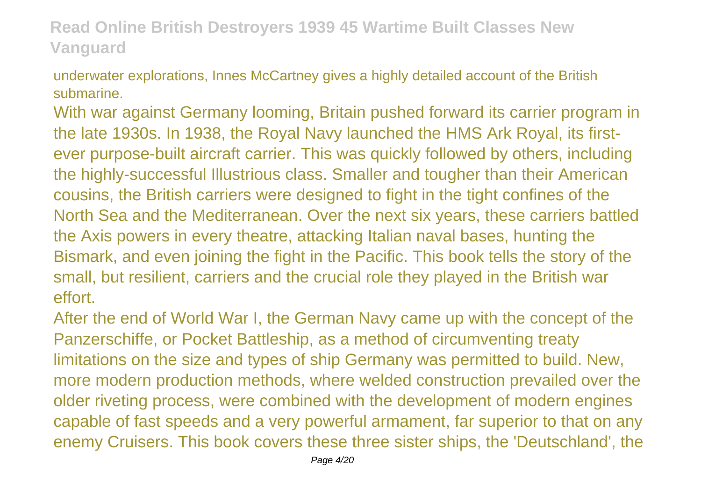underwater explorations, Innes McCartney gives a highly detailed account of the British submarine.

With war against Germany looming, Britain pushed forward its carrier program in the late 1930s. In 1938, the Royal Navy launched the HMS Ark Royal, its firstever purpose-built aircraft carrier. This was quickly followed by others, including the highly-successful Illustrious class. Smaller and tougher than their American cousins, the British carriers were designed to fight in the tight confines of the North Sea and the Mediterranean. Over the next six years, these carriers battled the Axis powers in every theatre, attacking Italian naval bases, hunting the Bismark, and even joining the fight in the Pacific. This book tells the story of the small, but resilient, carriers and the crucial role they played in the British war effort.

After the end of World War I, the German Navy came up with the concept of the Panzerschiffe, or Pocket Battleship, as a method of circumventing treaty limitations on the size and types of ship Germany was permitted to build. New, more modern production methods, where welded construction prevailed over the older riveting process, were combined with the development of modern engines capable of fast speeds and a very powerful armament, far superior to that on any enemy Cruisers. This book covers these three sister ships, the 'Deutschland', the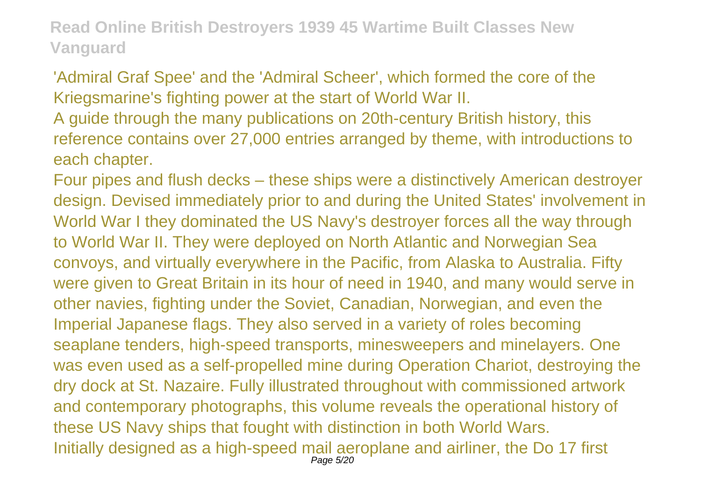'Admiral Graf Spee' and the 'Admiral Scheer', which formed the core of the Kriegsmarine's fighting power at the start of World War II.

A guide through the many publications on 20th-century British history, this reference contains over 27,000 entries arranged by theme, with introductions to each chapter.

Four pipes and flush decks – these ships were a distinctively American destroyer design. Devised immediately prior to and during the United States' involvement in World War I they dominated the US Navy's destroyer forces all the way through to World War II. They were deployed on North Atlantic and Norwegian Sea convoys, and virtually everywhere in the Pacific, from Alaska to Australia. Fifty were given to Great Britain in its hour of need in 1940, and many would serve in other navies, fighting under the Soviet, Canadian, Norwegian, and even the Imperial Japanese flags. They also served in a variety of roles becoming seaplane tenders, high-speed transports, minesweepers and minelayers. One was even used as a self-propelled mine during Operation Chariot, destroying the dry dock at St. Nazaire. Fully illustrated throughout with commissioned artwork and contemporary photographs, this volume reveals the operational history of these US Navy ships that fought with distinction in both World Wars. Initially designed as a high-speed mail aeroplane and airliner, the Do 17 first Page 5/20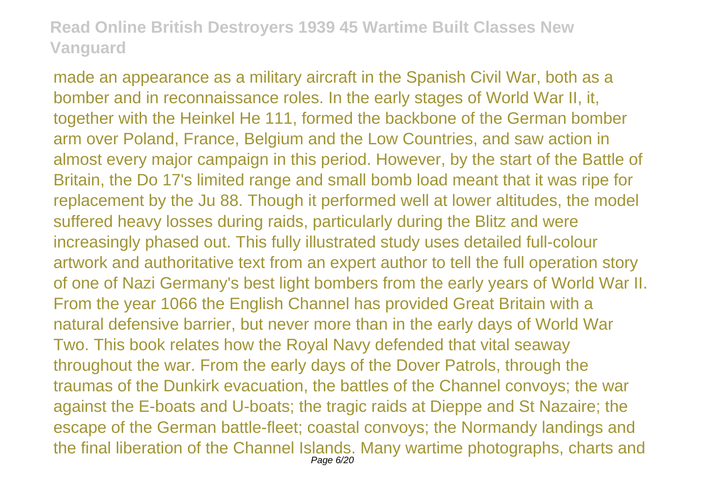made an appearance as a military aircraft in the Spanish Civil War, both as a bomber and in reconnaissance roles. In the early stages of World War II, it, together with the Heinkel He 111, formed the backbone of the German bomber arm over Poland, France, Belgium and the Low Countries, and saw action in almost every major campaign in this period. However, by the start of the Battle of Britain, the Do 17's limited range and small bomb load meant that it was ripe for replacement by the Ju 88. Though it performed well at lower altitudes, the model suffered heavy losses during raids, particularly during the Blitz and were increasingly phased out. This fully illustrated study uses detailed full-colour artwork and authoritative text from an expert author to tell the full operation story of one of Nazi Germany's best light bombers from the early years of World War II. From the year 1066 the English Channel has provided Great Britain with a natural defensive barrier, but never more than in the early days of World War Two. This book relates how the Royal Navy defended that vital seaway throughout the war. From the early days of the Dover Patrols, through the traumas of the Dunkirk evacuation, the battles of the Channel convoys; the war against the E-boats and U-boats; the tragic raids at Dieppe and St Nazaire; the escape of the German battle-fleet; coastal convoys; the Normandy landings and the final liberation of the Channel Islands. Many wartime photographs, charts and Page 6/20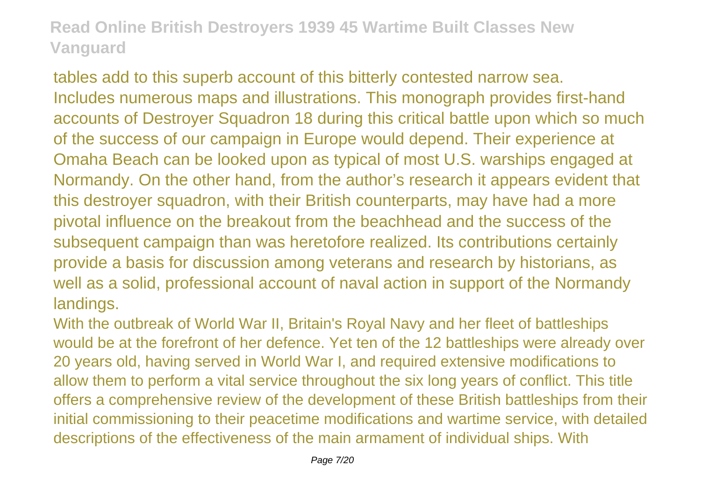tables add to this superb account of this bitterly contested narrow sea. Includes numerous maps and illustrations. This monograph provides first-hand accounts of Destroyer Squadron 18 during this critical battle upon which so much of the success of our campaign in Europe would depend. Their experience at Omaha Beach can be looked upon as typical of most U.S. warships engaged at Normandy. On the other hand, from the author's research it appears evident that this destroyer squadron, with their British counterparts, may have had a more pivotal influence on the breakout from the beachhead and the success of the subsequent campaign than was heretofore realized. Its contributions certainly provide a basis for discussion among veterans and research by historians, as well as a solid, professional account of naval action in support of the Normandy landings.

With the outbreak of World War II, Britain's Royal Navy and her fleet of battleships would be at the forefront of her defence. Yet ten of the 12 battleships were already over 20 years old, having served in World War I, and required extensive modifications to allow them to perform a vital service throughout the six long years of conflict. This title offers a comprehensive review of the development of these British battleships from their initial commissioning to their peacetime modifications and wartime service, with detailed descriptions of the effectiveness of the main armament of individual ships. With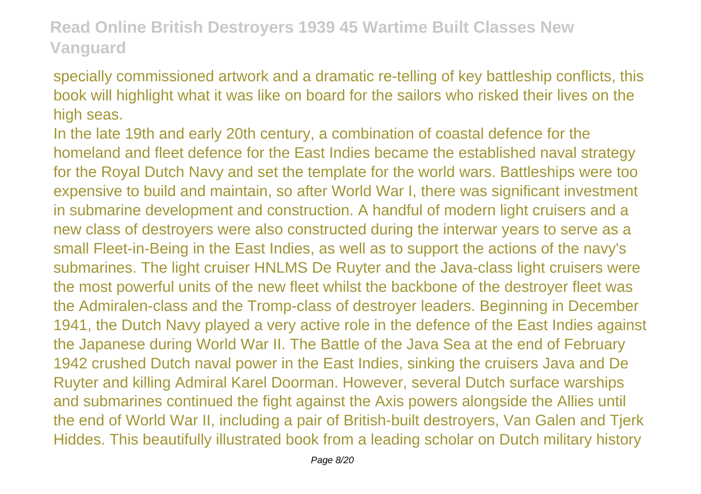specially commissioned artwork and a dramatic re-telling of key battleship conflicts, this book will highlight what it was like on board for the sailors who risked their lives on the high seas.

In the late 19th and early 20th century, a combination of coastal defence for the homeland and fleet defence for the East Indies became the established naval strategy for the Royal Dutch Navy and set the template for the world wars. Battleships were too expensive to build and maintain, so after World War I, there was significant investment in submarine development and construction. A handful of modern light cruisers and a new class of destroyers were also constructed during the interwar years to serve as a small Fleet-in-Being in the East Indies, as well as to support the actions of the navy's submarines. The light cruiser HNLMS De Ruyter and the Java-class light cruisers were the most powerful units of the new fleet whilst the backbone of the destroyer fleet was the Admiralen-class and the Tromp-class of destroyer leaders. Beginning in December 1941, the Dutch Navy played a very active role in the defence of the East Indies against the Japanese during World War II. The Battle of the Java Sea at the end of February 1942 crushed Dutch naval power in the East Indies, sinking the cruisers Java and De Ruyter and killing Admiral Karel Doorman. However, several Dutch surface warships and submarines continued the fight against the Axis powers alongside the Allies until the end of World War II, including a pair of British-built destroyers, Van Galen and Tjerk Hiddes. This beautifully illustrated book from a leading scholar on Dutch military history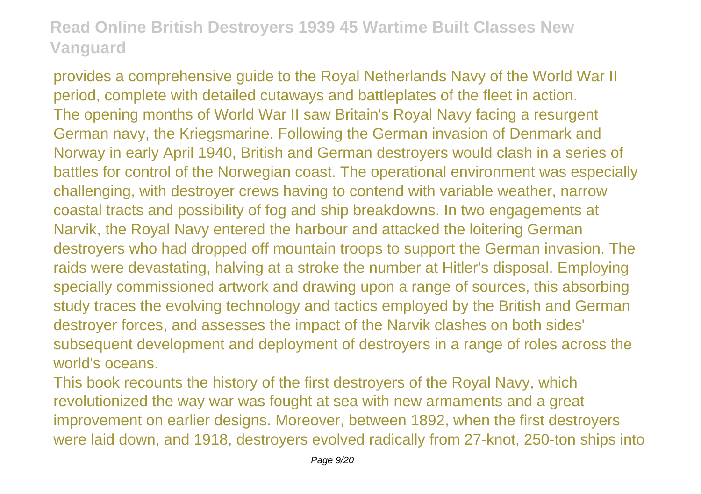provides a comprehensive guide to the Royal Netherlands Navy of the World War II period, complete with detailed cutaways and battleplates of the fleet in action. The opening months of World War II saw Britain's Royal Navy facing a resurgent German navy, the Kriegsmarine. Following the German invasion of Denmark and Norway in early April 1940, British and German destroyers would clash in a series of battles for control of the Norwegian coast. The operational environment was especially challenging, with destroyer crews having to contend with variable weather, narrow coastal tracts and possibility of fog and ship breakdowns. In two engagements at Narvik, the Royal Navy entered the harbour and attacked the loitering German destroyers who had dropped off mountain troops to support the German invasion. The raids were devastating, halving at a stroke the number at Hitler's disposal. Employing specially commissioned artwork and drawing upon a range of sources, this absorbing study traces the evolving technology and tactics employed by the British and German destroyer forces, and assesses the impact of the Narvik clashes on both sides' subsequent development and deployment of destroyers in a range of roles across the world's oceans.

This book recounts the history of the first destroyers of the Royal Navy, which revolutionized the way war was fought at sea with new armaments and a great improvement on earlier designs. Moreover, between 1892, when the first destroyers were laid down, and 1918, destroyers evolved radically from 27-knot, 250-ton ships into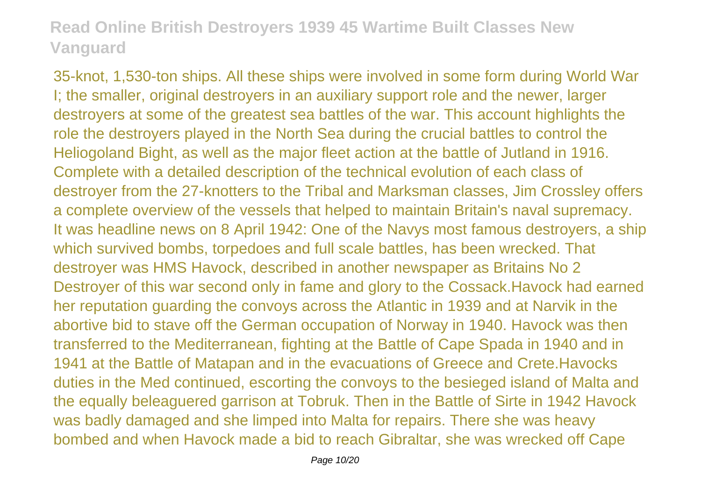35-knot, 1,530-ton ships. All these ships were involved in some form during World War I; the smaller, original destroyers in an auxiliary support role and the newer, larger destroyers at some of the greatest sea battles of the war. This account highlights the role the destroyers played in the North Sea during the crucial battles to control the Heliogoland Bight, as well as the major fleet action at the battle of Jutland in 1916. Complete with a detailed description of the technical evolution of each class of destroyer from the 27-knotters to the Tribal and Marksman classes, Jim Crossley offers a complete overview of the vessels that helped to maintain Britain's naval supremacy. It was headline news on 8 April 1942: One of the Navys most famous destroyers, a ship which survived bombs, torpedoes and full scale battles, has been wrecked. That destroyer was HMS Havock, described in another newspaper as Britains No 2 Destroyer of this war second only in fame and glory to the Cossack.Havock had earned her reputation guarding the convoys across the Atlantic in 1939 and at Narvik in the abortive bid to stave off the German occupation of Norway in 1940. Havock was then transferred to the Mediterranean, fighting at the Battle of Cape Spada in 1940 and in 1941 at the Battle of Matapan and in the evacuations of Greece and Crete.Havocks duties in the Med continued, escorting the convoys to the besieged island of Malta and the equally beleaguered garrison at Tobruk. Then in the Battle of Sirte in 1942 Havock was badly damaged and she limped into Malta for repairs. There she was heavy bombed and when Havock made a bid to reach Gibraltar, she was wrecked off Cape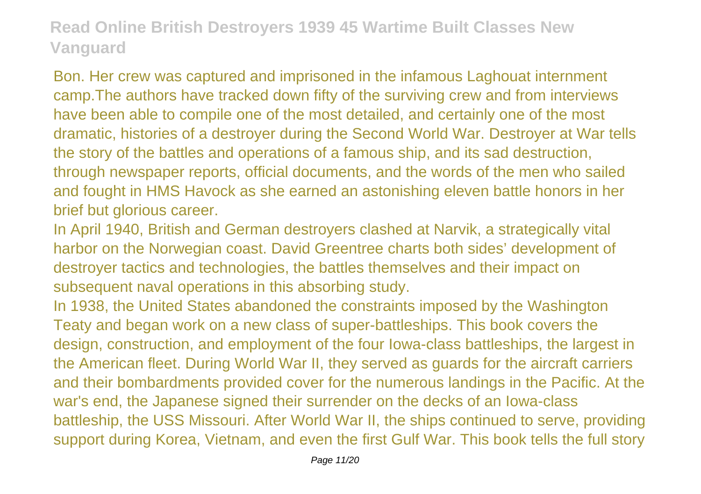Bon. Her crew was captured and imprisoned in the infamous Laghouat internment camp.The authors have tracked down fifty of the surviving crew and from interviews have been able to compile one of the most detailed, and certainly one of the most dramatic, histories of a destroyer during the Second World War. Destroyer at War tells the story of the battles and operations of a famous ship, and its sad destruction, through newspaper reports, official documents, and the words of the men who sailed and fought in HMS Havock as she earned an astonishing eleven battle honors in her brief but glorious career.

In April 1940, British and German destroyers clashed at Narvik, a strategically vital harbor on the Norwegian coast. David Greentree charts both sides' development of destroyer tactics and technologies, the battles themselves and their impact on subsequent naval operations in this absorbing study.

In 1938, the United States abandoned the constraints imposed by the Washington Teaty and began work on a new class of super-battleships. This book covers the design, construction, and employment of the four Iowa-class battleships, the largest in the American fleet. During World War II, they served as guards for the aircraft carriers and their bombardments provided cover for the numerous landings in the Pacific. At the war's end, the Japanese signed their surrender on the decks of an Iowa-class battleship, the USS Missouri. After World War II, the ships continued to serve, providing support during Korea, Vietnam, and even the first Gulf War. This book tells the full story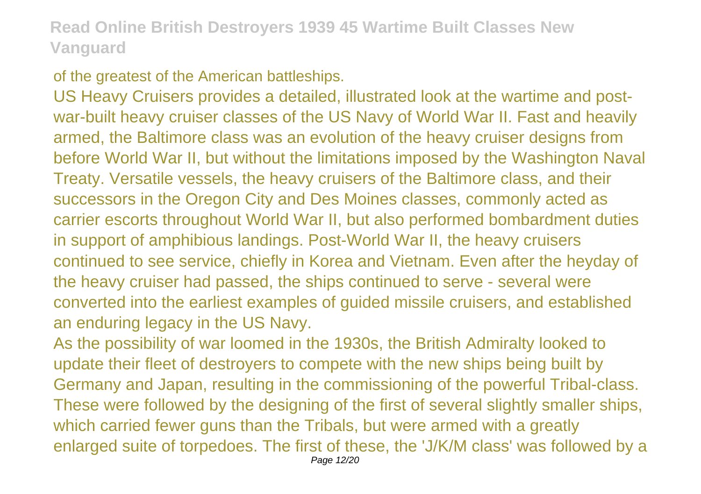#### of the greatest of the American battleships.

US Heavy Cruisers provides a detailed, illustrated look at the wartime and postwar-built heavy cruiser classes of the US Navy of World War II. Fast and heavily armed, the Baltimore class was an evolution of the heavy cruiser designs from before World War II, but without the limitations imposed by the Washington Naval Treaty. Versatile vessels, the heavy cruisers of the Baltimore class, and their successors in the Oregon City and Des Moines classes, commonly acted as carrier escorts throughout World War II, but also performed bombardment duties in support of amphibious landings. Post-World War II, the heavy cruisers continued to see service, chiefly in Korea and Vietnam. Even after the heyday of the heavy cruiser had passed, the ships continued to serve - several were converted into the earliest examples of guided missile cruisers, and established an enduring legacy in the US Navy.

As the possibility of war loomed in the 1930s, the British Admiralty looked to update their fleet of destroyers to compete with the new ships being built by Germany and Japan, resulting in the commissioning of the powerful Tribal-class. These were followed by the designing of the first of several slightly smaller ships, which carried fewer guns than the Tribals, but were armed with a greatly enlarged suite of torpedoes. The first of these, the 'J/K/M class' was followed by a Page 12/20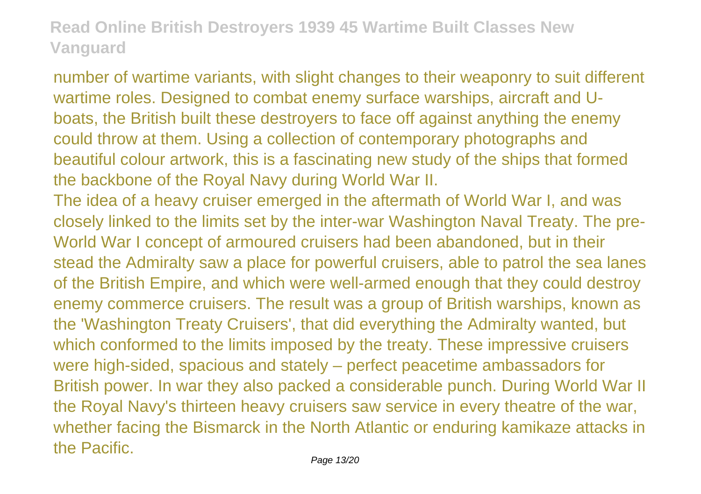number of wartime variants, with slight changes to their weaponry to suit different wartime roles. Designed to combat enemy surface warships, aircraft and Uboats, the British built these destroyers to face off against anything the enemy could throw at them. Using a collection of contemporary photographs and beautiful colour artwork, this is a fascinating new study of the ships that formed the backbone of the Royal Navy during World War II.

The idea of a heavy cruiser emerged in the aftermath of World War I, and was closely linked to the limits set by the inter-war Washington Naval Treaty. The pre-World War I concept of armoured cruisers had been abandoned, but in their stead the Admiralty saw a place for powerful cruisers, able to patrol the sea lanes of the British Empire, and which were well-armed enough that they could destroy enemy commerce cruisers. The result was a group of British warships, known as the 'Washington Treaty Cruisers', that did everything the Admiralty wanted, but which conformed to the limits imposed by the treaty. These impressive cruisers were high-sided, spacious and stately – perfect peacetime ambassadors for British power. In war they also packed a considerable punch. During World War II the Royal Navy's thirteen heavy cruisers saw service in every theatre of the war, whether facing the Bismarck in the North Atlantic or enduring kamikaze attacks in the Pacific.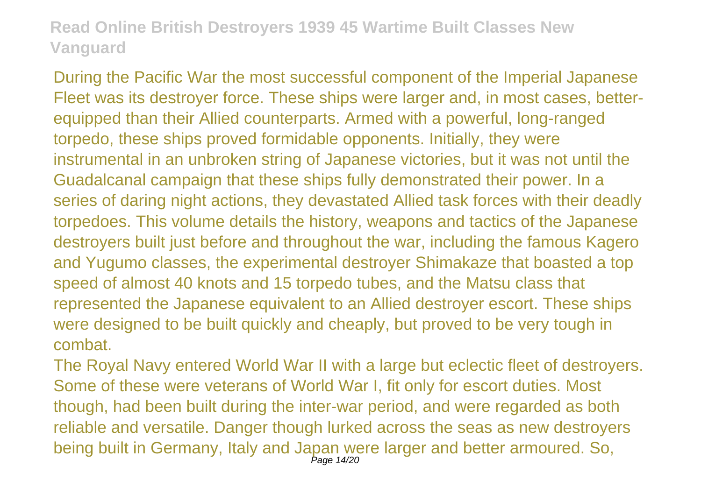During the Pacific War the most successful component of the Imperial Japanese Fleet was its destroyer force. These ships were larger and, in most cases, betterequipped than their Allied counterparts. Armed with a powerful, long-ranged torpedo, these ships proved formidable opponents. Initially, they were instrumental in an unbroken string of Japanese victories, but it was not until the Guadalcanal campaign that these ships fully demonstrated their power. In a series of daring night actions, they devastated Allied task forces with their deadly torpedoes. This volume details the history, weapons and tactics of the Japanese destroyers built just before and throughout the war, including the famous Kagero and Yugumo classes, the experimental destroyer Shimakaze that boasted a top speed of almost 40 knots and 15 torpedo tubes, and the Matsu class that represented the Japanese equivalent to an Allied destroyer escort. These ships were designed to be built quickly and cheaply, but proved to be very tough in combat.

The Royal Navy entered World War II with a large but eclectic fleet of destroyers. Some of these were veterans of World War I, fit only for escort duties. Most though, had been built during the inter-war period, and were regarded as both reliable and versatile. Danger though lurked across the seas as new destroyers being built in Germany, Italy and Japan were larger and better armoured. So, Page 14/20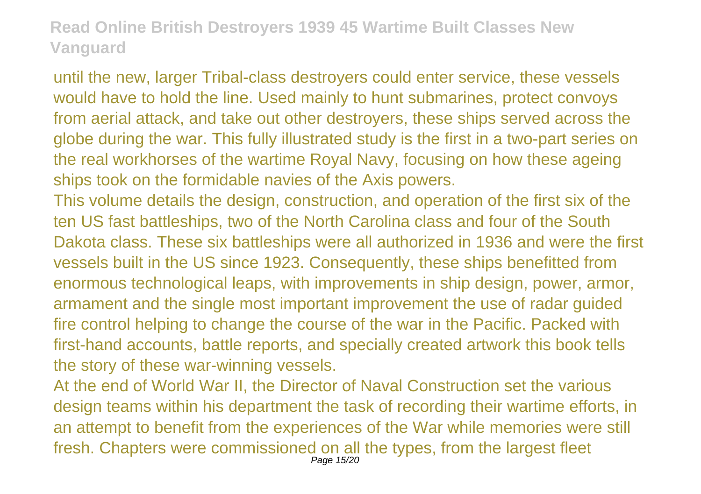until the new, larger Tribal-class destroyers could enter service, these vessels would have to hold the line. Used mainly to hunt submarines, protect convoys from aerial attack, and take out other destroyers, these ships served across the globe during the war. This fully illustrated study is the first in a two-part series on the real workhorses of the wartime Royal Navy, focusing on how these ageing ships took on the formidable navies of the Axis powers.

This volume details the design, construction, and operation of the first six of the ten US fast battleships, two of the North Carolina class and four of the South Dakota class. These six battleships were all authorized in 1936 and were the first vessels built in the US since 1923. Consequently, these ships benefitted from enormous technological leaps, with improvements in ship design, power, armor, armament and the single most important improvement the use of radar guided fire control helping to change the course of the war in the Pacific. Packed with first-hand accounts, battle reports, and specially created artwork this book tells the story of these war-winning vessels.

At the end of World War II, the Director of Naval Construction set the various design teams within his department the task of recording their wartime efforts, in an attempt to benefit from the experiences of the War while memories were still fresh. Chapters were commissioned on all the types, from the largest fleet Page 15/20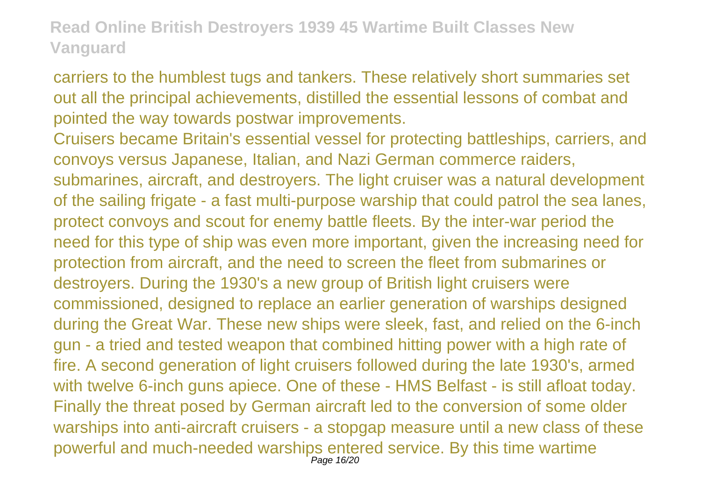carriers to the humblest tugs and tankers. These relatively short summaries set out all the principal achievements, distilled the essential lessons of combat and pointed the way towards postwar improvements.

Cruisers became Britain's essential vessel for protecting battleships, carriers, and convoys versus Japanese, Italian, and Nazi German commerce raiders, submarines, aircraft, and destroyers. The light cruiser was a natural development of the sailing frigate - a fast multi-purpose warship that could patrol the sea lanes, protect convoys and scout for enemy battle fleets. By the inter-war period the need for this type of ship was even more important, given the increasing need for protection from aircraft, and the need to screen the fleet from submarines or destroyers. During the 1930's a new group of British light cruisers were commissioned, designed to replace an earlier generation of warships designed during the Great War. These new ships were sleek, fast, and relied on the 6-inch gun - a tried and tested weapon that combined hitting power with a high rate of fire. A second generation of light cruisers followed during the late 1930's, armed with twelve 6-inch guns apiece. One of these - HMS Belfast - is still afloat today. Finally the threat posed by German aircraft led to the conversion of some older warships into anti-aircraft cruisers - a stopgap measure until a new class of these powerful and much-needed warships entered service. By this time wartime Page 16/20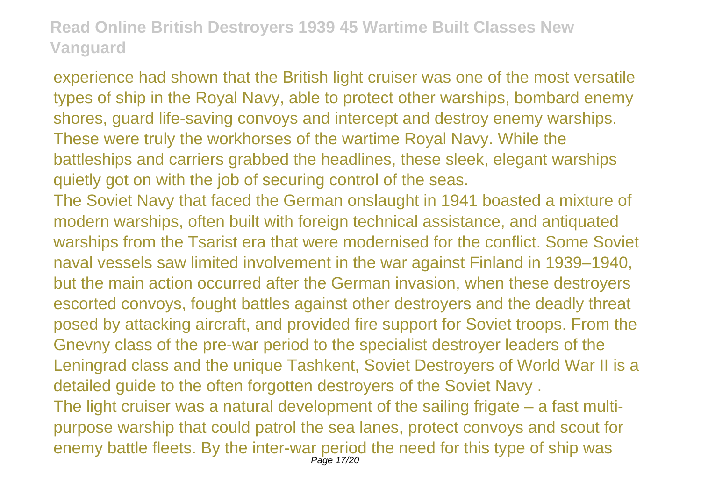experience had shown that the British light cruiser was one of the most versatile types of ship in the Royal Navy, able to protect other warships, bombard enemy shores, guard life-saving convoys and intercept and destroy enemy warships. These were truly the workhorses of the wartime Royal Navy. While the battleships and carriers grabbed the headlines, these sleek, elegant warships quietly got on with the job of securing control of the seas. The Soviet Navy that faced the German onslaught in 1941 boasted a mixture of

modern warships, often built with foreign technical assistance, and antiquated warships from the Tsarist era that were modernised for the conflict. Some Soviet naval vessels saw limited involvement in the war against Finland in 1939–1940, but the main action occurred after the German invasion, when these destroyers escorted convoys, fought battles against other destroyers and the deadly threat posed by attacking aircraft, and provided fire support for Soviet troops. From the Gnevny class of the pre-war period to the specialist destroyer leaders of the Leningrad class and the unique Tashkent, Soviet Destroyers of World War II is a detailed guide to the often forgotten destroyers of the Soviet Navy . The light cruiser was a natural development of the sailing frigate – a fast multipurpose warship that could patrol the sea lanes, protect convoys and scout for enemy battle fleets. By the inter-war period the need for this type of ship was Page 17/20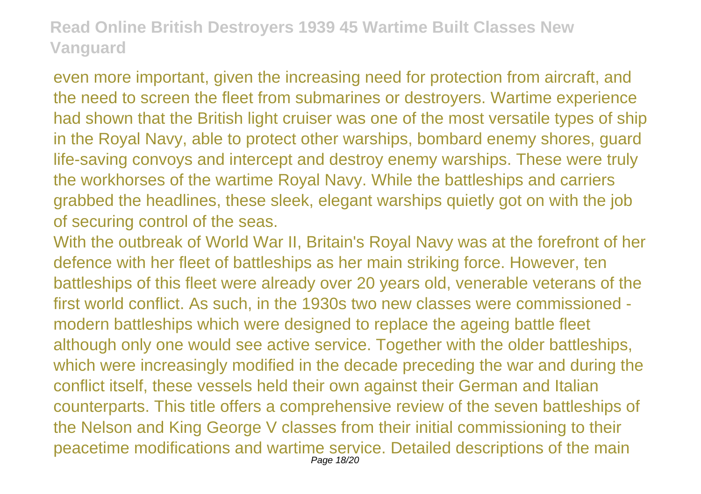even more important, given the increasing need for protection from aircraft, and the need to screen the fleet from submarines or destroyers. Wartime experience had shown that the British light cruiser was one of the most versatile types of ship in the Royal Navy, able to protect other warships, bombard enemy shores, guard life-saving convoys and intercept and destroy enemy warships. These were truly the workhorses of the wartime Royal Navy. While the battleships and carriers grabbed the headlines, these sleek, elegant warships quietly got on with the job of securing control of the seas.

With the outbreak of World War II, Britain's Royal Navy was at the forefront of her defence with her fleet of battleships as her main striking force. However, ten battleships of this fleet were already over 20 years old, venerable veterans of the first world conflict. As such, in the 1930s two new classes were commissioned modern battleships which were designed to replace the ageing battle fleet although only one would see active service. Together with the older battleships, which were increasingly modified in the decade preceding the war and during the conflict itself, these vessels held their own against their German and Italian counterparts. This title offers a comprehensive review of the seven battleships of the Nelson and King George V classes from their initial commissioning to their peacetime modifications and wartime service. Detailed descriptions of the main Page 18/20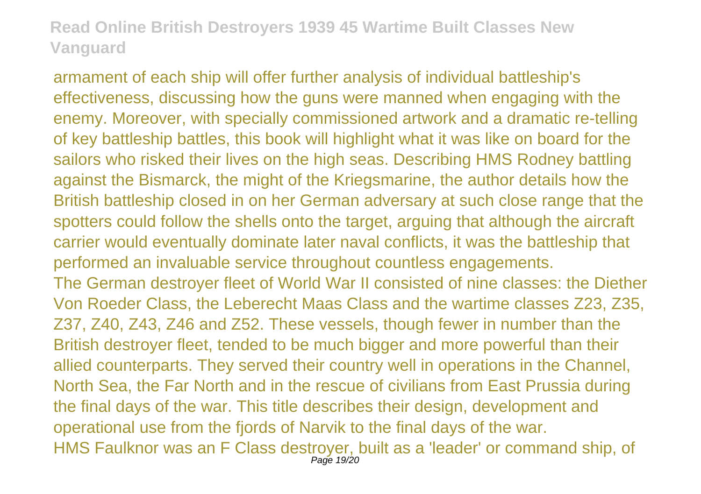armament of each ship will offer further analysis of individual battleship's effectiveness, discussing how the guns were manned when engaging with the enemy. Moreover, with specially commissioned artwork and a dramatic re-telling of key battleship battles, this book will highlight what it was like on board for the sailors who risked their lives on the high seas. Describing HMS Rodney battling against the Bismarck, the might of the Kriegsmarine, the author details how the British battleship closed in on her German adversary at such close range that the spotters could follow the shells onto the target, arguing that although the aircraft carrier would eventually dominate later naval conflicts, it was the battleship that performed an invaluable service throughout countless engagements. The German destroyer fleet of World War II consisted of nine classes: the Diether Von Roeder Class, the Leberecht Maas Class and the wartime classes Z23, Z35, Z37, Z40, Z43, Z46 and Z52. These vessels, though fewer in number than the British destroyer fleet, tended to be much bigger and more powerful than their allied counterparts. They served their country well in operations in the Channel, North Sea, the Far North and in the rescue of civilians from East Prussia during the final days of the war. This title describes their design, development and operational use from the fjords of Narvik to the final days of the war. HMS Faulknor was an F Class destroyer, built as a 'leader' or command ship, of Page 19/20